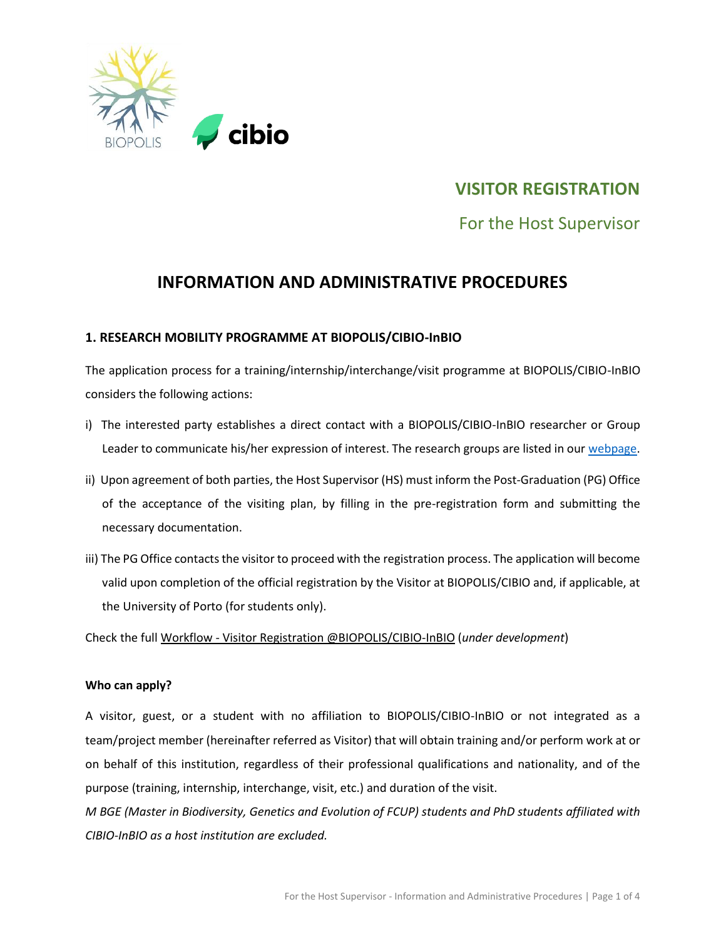

# **VISITOR REGISTRATION**

For the Host Supervisor

## **INFORMATION AND ADMINISTRATIVE PROCEDURES**

### **1. RESEARCH MOBILITY PROGRAMME AT BIOPOLIS/CIBIO-InBIO**

The application process for a training/internship/interchange/visit programme at BIOPOLIS/CIBIO-InBIO considers the following actions:

- i) The interested party establishes a direct contact with a BIOPOLIS/CIBIO-InBIO researcher or Group Leader to communicate his/her expression of interest. The research groups are listed in our [webpage.](https://cibio.up.pt/en/groups/)
- ii) Upon agreement of both parties, the Host Supervisor (HS) must inform the Post-Graduation (PG) Office of the acceptance of the visiting plan, by filling in the pre-registration form and submitting the necessary documentation.
- iii) The PG Office contacts the visitor to proceed with the registration process. The application will become valid upon completion of the official registration by the Visitor at BIOPOLIS/CIBIO and, if applicable, at the University of Porto (for students only).

Check the full Workflow - Visitor Registration @BIOPOLIS/CIBIO-InBIO (*under development*)

#### **Who can apply?**

A visitor, guest, or a student with no affiliation to BIOPOLIS/CIBIO-InBIO or not integrated as a team/project member (hereinafter referred as Visitor) that will obtain training and/or perform work at or on behalf of this institution, regardless of their professional qualifications and nationality, and of the purpose (training, internship, interchange, visit, etc.) and duration of the visit.

*M BGE (Master in Biodiversity, Genetics and Evolution of FCUP) students and PhD students affiliated with CIBIO-InBIO as a host institution are excluded.*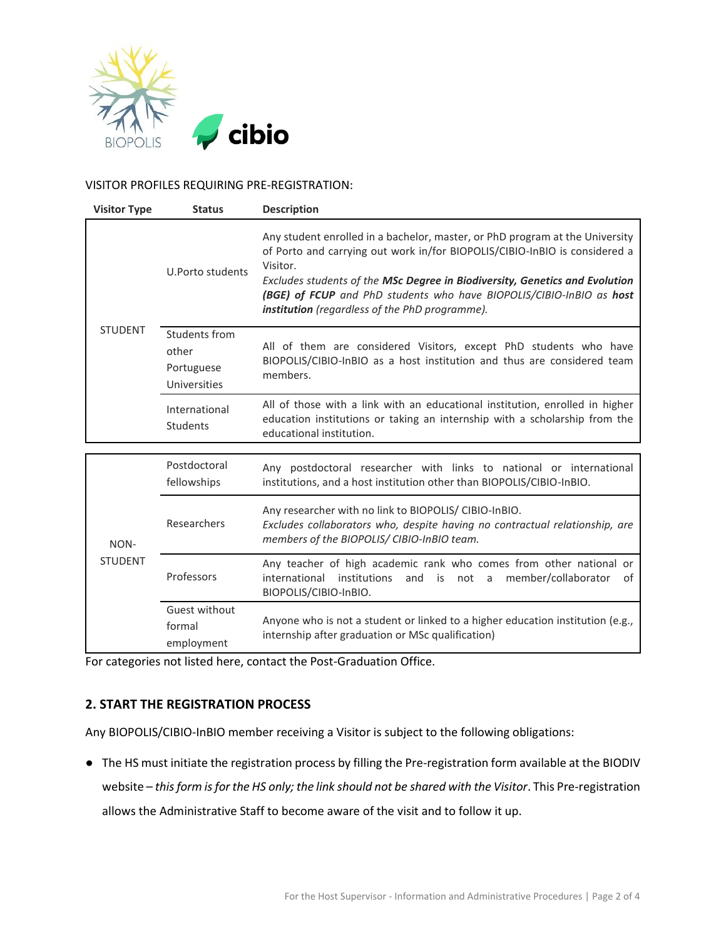

#### VISITOR PROFILES REQUIRING PRE-REGISTRATION:

| <b>Visitor Type</b>    | <b>Status</b>                                        | <b>Description</b>                                                                                                                                                                                                                                                                                                                                                              |
|------------------------|------------------------------------------------------|---------------------------------------------------------------------------------------------------------------------------------------------------------------------------------------------------------------------------------------------------------------------------------------------------------------------------------------------------------------------------------|
| <b>STUDENT</b>         | U.Porto students                                     | Any student enrolled in a bachelor, master, or PhD program at the University<br>of Porto and carrying out work in/for BIOPOLIS/CIBIO-InBIO is considered a<br>Visitor.<br>Excludes students of the MSc Degree in Biodiversity, Genetics and Evolution<br>(BGE) of FCUP and PhD students who have BIOPOLIS/CIBIO-InBIO as host<br>institution (regardless of the PhD programme). |
|                        | Students from<br>other<br>Portuguese<br>Universities | All of them are considered Visitors, except PhD students who have<br>BIOPOLIS/CIBIO-InBIO as a host institution and thus are considered team<br>members.                                                                                                                                                                                                                        |
|                        | International<br>Students                            | All of those with a link with an educational institution, enrolled in higher<br>education institutions or taking an internship with a scholarship from the<br>educational institution.                                                                                                                                                                                          |
|                        |                                                      |                                                                                                                                                                                                                                                                                                                                                                                 |
| NON-<br><b>STUDENT</b> | Postdoctoral<br>fellowships                          | Any postdoctoral researcher with links to national or international<br>institutions, and a host institution other than BIOPOLIS/CIBIO-InBIO.                                                                                                                                                                                                                                    |
|                        | Researchers                                          | Any researcher with no link to BIOPOLIS/ CIBIO-InBIO.<br>Excludes collaborators who, despite having no contractual relationship, are<br>members of the BIOPOLIS/ CIBIO-InBIO team.                                                                                                                                                                                              |
|                        | Professors                                           | Any teacher of high academic rank who comes from other national or<br>international institutions<br>and<br>not a<br>member/collaborator<br>is<br>οf<br>BIOPOLIS/CIBIO-InBIO.                                                                                                                                                                                                    |
|                        | Guest without<br>formal<br>employment                | Anyone who is not a student or linked to a higher education institution (e.g.,<br>internship after graduation or MSc qualification)                                                                                                                                                                                                                                             |

For categories not listed here, contact the Post-Graduation Office.

## **2. START THE REGISTRATION PROCESS**

Any BIOPOLIS/CIBIO-InBIO member receiving a Visitor is subject to the following obligations:

● The HS must initiate the registration process by filling the Pre-registration form available at the BIODIV website – *this form isfor the HS only; the link should not be shared with the Visitor*. This Pre-registration allows the Administrative Staff to become aware of the visit and to follow it up.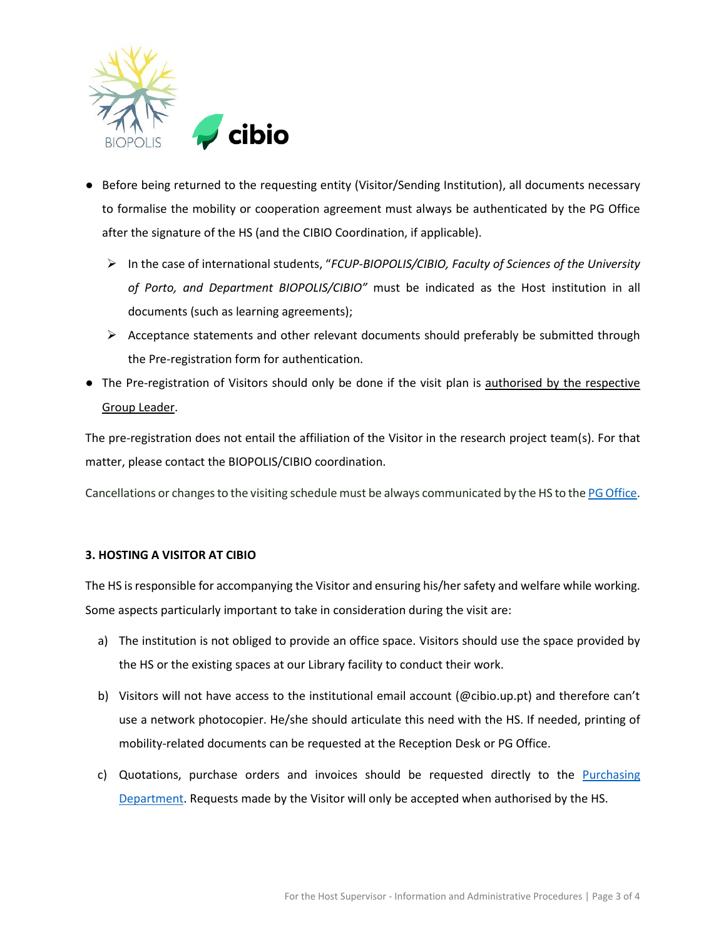

- Before being returned to the requesting entity (Visitor/Sending Institution), all documents necessary to formalise the mobility or cooperation agreement must always be authenticated by the PG Office after the signature of the HS (and the CIBIO Coordination, if applicable).
	- In the case of international students, "*FCUP-BIOPOLIS/CIBIO, Faculty of Sciences of the University of Porto, and Department BIOPOLIS/CIBIO"* must be indicated as the Host institution in all documents (such as learning agreements);
	- $\triangleright$  Acceptance statements and other relevant documents should preferably be submitted through the Pre-registration form for authentication.
- The Pre-registration of Visitors should only be done if the visit plan is authorised by the respective Group Leader.

The pre-registration does not entail the affiliation of the Visitor in the research project team(s). For that matter, please contact the BIOPOLIS/CIBIO coordination.

Cancellations or changes to the visiting schedule must be always communicated by the HS to th[e PG Office.](mailto:post.graduation@cibio.up.pt)

#### **3. HOSTING A VISITOR AT CIBIO**

The HS is responsible for accompanying the Visitor and ensuring his/her safety and welfare while working. Some aspects particularly important to take in consideration during the visit are:

- a) The institution is not obliged to provide an office space. Visitors should use the space provided by the HS or the existing spaces at our Library facility to conduct their work.
- b) Visitors will not have access to the institutional email account (@cibio.up.pt) and therefore can't use a network photocopier. He/she should articulate this need with the HS. If needed, printing of mobility-related documents can be requested at the Reception Desk or PG Office.
- c) Quotations, purchase orders and invoices should be requested directly to the Purchasing [Department.](mailto:compras.biopolis@cibio.up.pt) Requests made by the Visitor will only be accepted when authorised by the HS.